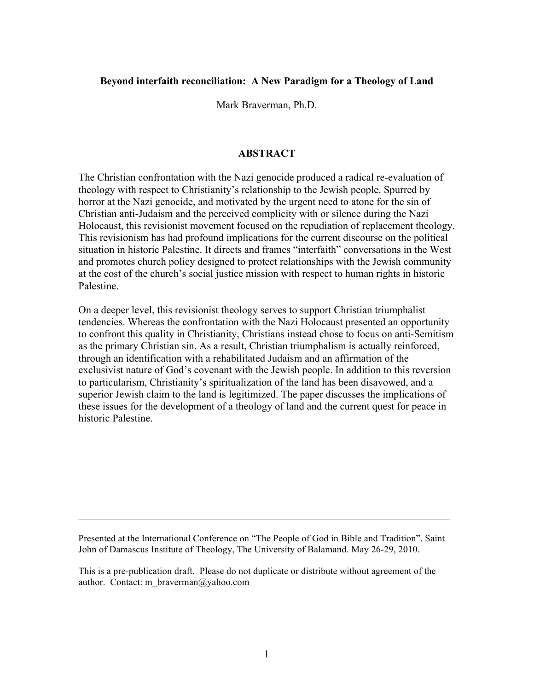### **Beyond interfaith reconciliation: A New Paradigm for a Theology of Land**

Mark Braverman, Ph.D.

#### **ABSTRACT**

The Christian confrontation with the Nazi genocide produced a radical re-evaluation of theology with respect to Christianity's relationship to the Jewish people. Spurred by horror at the Nazi genocide, and motivated by the urgent need to atone for the sin of Christian anti-Judaism and the perceived complicity with or silence during the Nazi Holocaust, this revisionist movement focused on the repudiation of replacement theology. This revisionism has had profound implications for the current discourse on the political situation in historic Palestine. It directs and frames "interfaith" conversations in the West and promotes church policy designed to protect relationships with the Jewish community at the cost of the church's social justice mission with respect to human rights in historic Palestine.

On a deeper level, this revisionist theology serves to support Christian triumphalist tendencies. Whereas the confrontation with the Nazi Holocaust presented an opportunity to confront this quality in Christianity, Christians instead chose to focus on anti-Semitism as the primary Christian sin. As a result, Christian triumphalism is actually reinforced, through an identification with a rehabilitated Judaism and an affirmation of the exclusivist nature of God's covenant with the Jewish people. In addition to this reversion to particularism, Christianity's spiritualization of the land has been disavowed, and a superior Jewish claim to the land is legitimized. The paper discusses the implications of these issues for the development of a theology of land and the current quest for peace in historic Palestine.

Presented at the International Conference on "The People of God in Bible and Tradition". Saint John of Damascus Institute of Theology, The University of Balamand. May 26-29, 2010.

 $\mathcal{L}_\text{max}$  , and the contribution of the contribution of the contribution of the contribution of the contribution of the contribution of the contribution of the contribution of the contribution of the contribution of t

This is a pre-publication draft. Please do not duplicate or distribute without agreement of the author. Contact: m\_braverman@yahoo.com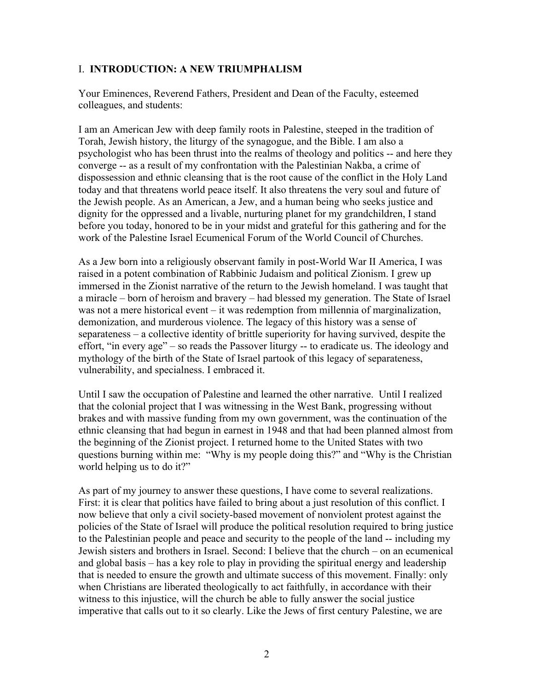### I. **INTRODUCTION: A NEW TRIUMPHALISM**

Your Eminences, Reverend Fathers, President and Dean of the Faculty, esteemed colleagues, and students:

I am an American Jew with deep family roots in Palestine, steeped in the tradition of Torah, Jewish history, the liturgy of the synagogue, and the Bible. I am also a psychologist who has been thrust into the realms of theology and politics -- and here they converge -- as a result of my confrontation with the Palestinian Nakba, a crime of dispossession and ethnic cleansing that is the root cause of the conflict in the Holy Land today and that threatens world peace itself. It also threatens the very soul and future of the Jewish people. As an American, a Jew, and a human being who seeks justice and dignity for the oppressed and a livable, nurturing planet for my grandchildren, I stand before you today, honored to be in your midst and grateful for this gathering and for the work of the Palestine Israel Ecumenical Forum of the World Council of Churches.

As a Jew born into a religiously observant family in post-World War II America, I was raised in a potent combination of Rabbinic Judaism and political Zionism. I grew up immersed in the Zionist narrative of the return to the Jewish homeland. I was taught that a miracle – born of heroism and bravery – had blessed my generation. The State of Israel was not a mere historical event – it was redemption from millennia of marginalization, demonization, and murderous violence. The legacy of this history was a sense of separateness – a collective identity of brittle superiority for having survived, despite the effort, "in every age" – so reads the Passover liturgy -- to eradicate us. The ideology and mythology of the birth of the State of Israel partook of this legacy of separateness, vulnerability, and specialness. I embraced it.

Until I saw the occupation of Palestine and learned the other narrative. Until I realized that the colonial project that I was witnessing in the West Bank, progressing without brakes and with massive funding from my own government, was the continuation of the ethnic cleansing that had begun in earnest in 1948 and that had been planned almost from the beginning of the Zionist project. I returned home to the United States with two questions burning within me: "Why is my people doing this?" and "Why is the Christian world helping us to do it?"

As part of my journey to answer these questions, I have come to several realizations. First: it is clear that politics have failed to bring about a just resolution of this conflict. I now believe that only a civil society-based movement of nonviolent protest against the policies of the State of Israel will produce the political resolution required to bring justice to the Palestinian people and peace and security to the people of the land -- including my Jewish sisters and brothers in Israel. Second: I believe that the church – on an ecumenical and global basis – has a key role to play in providing the spiritual energy and leadership that is needed to ensure the growth and ultimate success of this movement. Finally: only when Christians are liberated theologically to act faithfully, in accordance with their witness to this injustice, will the church be able to fully answer the social justice imperative that calls out to it so clearly. Like the Jews of first century Palestine, we are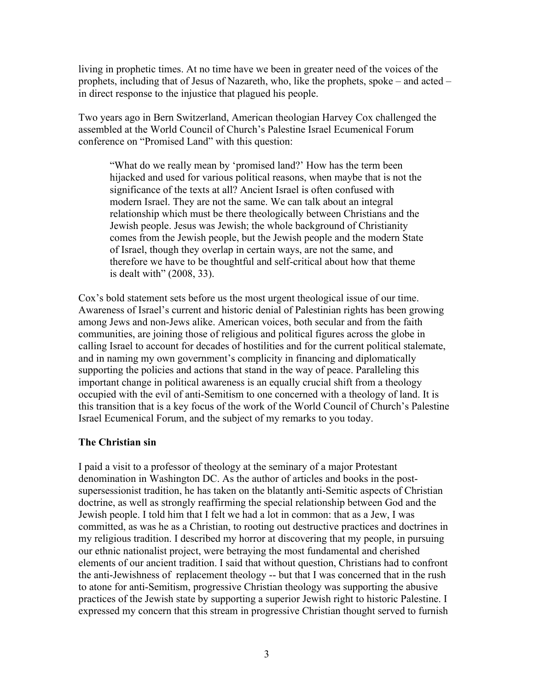living in prophetic times. At no time have we been in greater need of the voices of the prophets, including that of Jesus of Nazareth, who, like the prophets, spoke – and acted – in direct response to the injustice that plagued his people.

Two years ago in Bern Switzerland, American theologian Harvey Cox challenged the assembled at the World Council of Church's Palestine Israel Ecumenical Forum conference on "Promised Land" with this question:

"What do we really mean by 'promised land?' How has the term been hijacked and used for various political reasons, when maybe that is not the significance of the texts at all? Ancient Israel is often confused with modern Israel. They are not the same. We can talk about an integral relationship which must be there theologically between Christians and the Jewish people. Jesus was Jewish; the whole background of Christianity comes from the Jewish people, but the Jewish people and the modern State of Israel, though they overlap in certain ways, are not the same, and therefore we have to be thoughtful and self-critical about how that theme is dealt with" (2008, 33).

Cox's bold statement sets before us the most urgent theological issue of our time. Awareness of Israel's current and historic denial of Palestinian rights has been growing among Jews and non-Jews alike. American voices, both secular and from the faith communities, are joining those of religious and political figures across the globe in calling Israel to account for decades of hostilities and for the current political stalemate, and in naming my own government's complicity in financing and diplomatically supporting the policies and actions that stand in the way of peace. Paralleling this important change in political awareness is an equally crucial shift from a theology occupied with the evil of anti-Semitism to one concerned with a theology of land. It is this transition that is a key focus of the work of the World Council of Church's Palestine Israel Ecumenical Forum, and the subject of my remarks to you today.

### **The Christian sin**

I paid a visit to a professor of theology at the seminary of a major Protestant denomination in Washington DC. As the author of articles and books in the postsupersessionist tradition, he has taken on the blatantly anti-Semitic aspects of Christian doctrine, as well as strongly reaffirming the special relationship between God and the Jewish people. I told him that I felt we had a lot in common: that as a Jew, I was committed, as was he as a Christian, to rooting out destructive practices and doctrines in my religious tradition. I described my horror at discovering that my people, in pursuing our ethnic nationalist project, were betraying the most fundamental and cherished elements of our ancient tradition. I said that without question, Christians had to confront the anti-Jewishness of replacement theology -- but that I was concerned that in the rush to atone for anti-Semitism, progressive Christian theology was supporting the abusive practices of the Jewish state by supporting a superior Jewish right to historic Palestine. I expressed my concern that this stream in progressive Christian thought served to furnish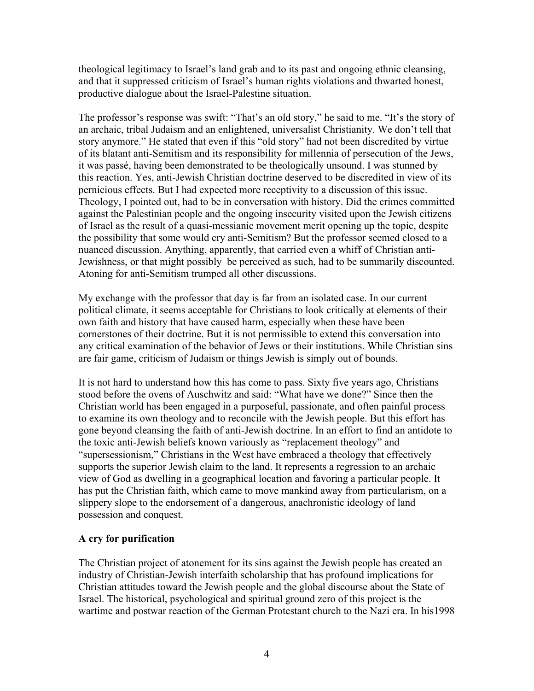theological legitimacy to Israel's land grab and to its past and ongoing ethnic cleansing, and that it suppressed criticism of Israel's human rights violations and thwarted honest, productive dialogue about the Israel-Palestine situation.

The professor's response was swift: "That's an old story," he said to me. "It's the story of an archaic, tribal Judaism and an enlightened, universalist Christianity. We don't tell that story anymore." He stated that even if this "old story" had not been discredited by virtue of its blatant anti-Semitism and its responsibility for millennia of persecution of the Jews, it was passé, having been demonstrated to be theologically unsound. I was stunned by this reaction. Yes, anti-Jewish Christian doctrine deserved to be discredited in view of its pernicious effects. But I had expected more receptivity to a discussion of this issue. Theology, I pointed out, had to be in conversation with history. Did the crimes committed against the Palestinian people and the ongoing insecurity visited upon the Jewish citizens of Israel as the result of a quasi-messianic movement merit opening up the topic, despite the possibility that some would cry anti-Semitism? But the professor seemed closed to a nuanced discussion. Anything, apparently, that carried even a whiff of Christian anti-Jewishness, or that might possibly be perceived as such, had to be summarily discounted. Atoning for anti-Semitism trumped all other discussions.

My exchange with the professor that day is far from an isolated case. In our current political climate, it seems acceptable for Christians to look critically at elements of their own faith and history that have caused harm, especially when these have been cornerstones of their doctrine. But it is not permissible to extend this conversation into any critical examination of the behavior of Jews or their institutions. While Christian sins are fair game, criticism of Judaism or things Jewish is simply out of bounds.

It is not hard to understand how this has come to pass. Sixty five years ago, Christians stood before the ovens of Auschwitz and said: "What have we done?" Since then the Christian world has been engaged in a purposeful, passionate, and often painful process to examine its own theology and to reconcile with the Jewish people. But this effort has gone beyond cleansing the faith of anti-Jewish doctrine. In an effort to find an antidote to the toxic anti-Jewish beliefs known variously as "replacement theology" and "supersessionism," Christians in the West have embraced a theology that effectively supports the superior Jewish claim to the land. It represents a regression to an archaic view of God as dwelling in a geographical location and favoring a particular people. It has put the Christian faith, which came to move mankind away from particularism, on a slippery slope to the endorsement of a dangerous, anachronistic ideology of land possession and conquest.

## **A cry for purification**

The Christian project of atonement for its sins against the Jewish people has created an industry of Christian-Jewish interfaith scholarship that has profound implications for Christian attitudes toward the Jewish people and the global discourse about the State of Israel. The historical, psychological and spiritual ground zero of this project is the wartime and postwar reaction of the German Protestant church to the Nazi era. In his1998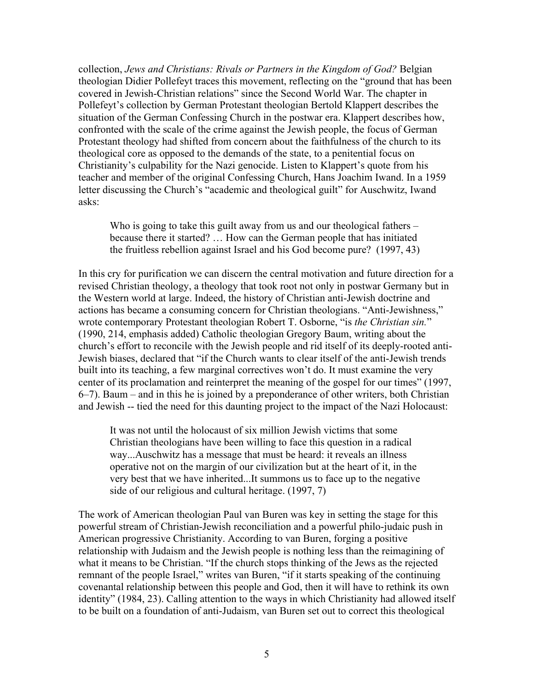collection, *Jews and Christians: Rivals or Partners in the Kingdom of God?* Belgian theologian Didier Pollefeyt traces this movement, reflecting on the "ground that has been covered in Jewish-Christian relations" since the Second World War. The chapter in Pollefeyt's collection by German Protestant theologian Bertold Klappert describes the situation of the German Confessing Church in the postwar era. Klappert describes how, confronted with the scale of the crime against the Jewish people, the focus of German Protestant theology had shifted from concern about the faithfulness of the church to its theological core as opposed to the demands of the state, to a penitential focus on Christianity's culpability for the Nazi genocide. Listen to Klappert's quote from his teacher and member of the original Confessing Church, Hans Joachim Iwand. In a 1959 letter discussing the Church's "academic and theological guilt" for Auschwitz, Iwand asks:

Who is going to take this guilt away from us and our theological fathers – because there it started? … How can the German people that has initiated the fruitless rebellion against Israel and his God become pure? (1997, 43)

In this cry for purification we can discern the central motivation and future direction for a revised Christian theology, a theology that took root not only in postwar Germany but in the Western world at large. Indeed, the history of Christian anti-Jewish doctrine and actions has became a consuming concern for Christian theologians. "Anti-Jewishness," wrote contemporary Protestant theologian Robert T. Osborne, "is *the Christian sin.*" (1990, 214, emphasis added) Catholic theologian Gregory Baum, writing about the church's effort to reconcile with the Jewish people and rid itself of its deeply-rooted anti-Jewish biases, declared that "if the Church wants to clear itself of the anti-Jewish trends built into its teaching, a few marginal correctives won't do. It must examine the very center of its proclamation and reinterpret the meaning of the gospel for our times" (1997, 6–7). Baum – and in this he is joined by a preponderance of other writers, both Christian and Jewish -- tied the need for this daunting project to the impact of the Nazi Holocaust:

It was not until the holocaust of six million Jewish victims that some Christian theologians have been willing to face this question in a radical way...Auschwitz has a message that must be heard: it reveals an illness operative not on the margin of our civilization but at the heart of it, in the very best that we have inherited...It summons us to face up to the negative side of our religious and cultural heritage. (1997, 7)

The work of American theologian Paul van Buren was key in setting the stage for this powerful stream of Christian-Jewish reconciliation and a powerful philo-judaic push in American progressive Christianity. According to van Buren, forging a positive relationship with Judaism and the Jewish people is nothing less than the reimagining of what it means to be Christian. "If the church stops thinking of the Jews as the rejected remnant of the people Israel," writes van Buren, "if it starts speaking of the continuing covenantal relationship between this people and God, then it will have to rethink its own identity" (1984, 23). Calling attention to the ways in which Christianity had allowed itself to be built on a foundation of anti-Judaism, van Buren set out to correct this theological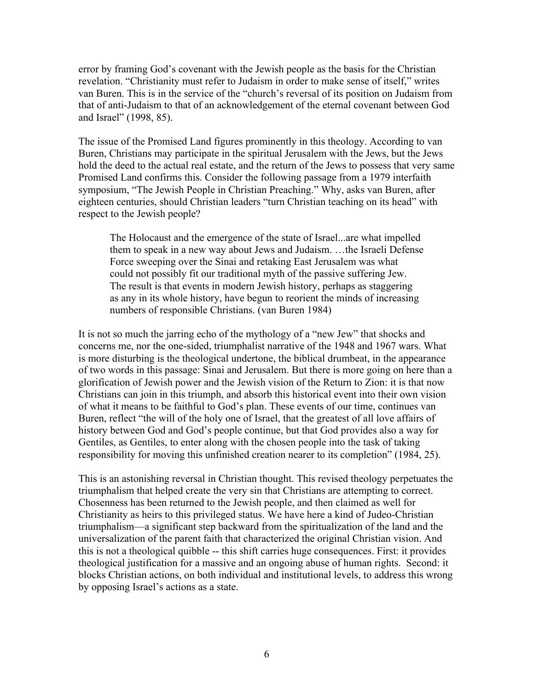error by framing God's covenant with the Jewish people as the basis for the Christian revelation. "Christianity must refer to Judaism in order to make sense of itself," writes van Buren. This is in the service of the "church's reversal of its position on Judaism from that of anti-Judaism to that of an acknowledgement of the eternal covenant between God and Israel" (1998, 85).

The issue of the Promised Land figures prominently in this theology. According to van Buren, Christians may participate in the spiritual Jerusalem with the Jews, but the Jews hold the deed to the actual real estate, and the return of the Jews to possess that very same Promised Land confirms this. Consider the following passage from a 1979 interfaith symposium, "The Jewish People in Christian Preaching." Why, asks van Buren, after eighteen centuries, should Christian leaders "turn Christian teaching on its head" with respect to the Jewish people?

The Holocaust and the emergence of the state of Israel...are what impelled them to speak in a new way about Jews and Judaism. …the Israeli Defense Force sweeping over the Sinai and retaking East Jerusalem was what could not possibly fit our traditional myth of the passive suffering Jew. The result is that events in modern Jewish history, perhaps as staggering as any in its whole history, have begun to reorient the minds of increasing numbers of responsible Christians. (van Buren 1984)

It is not so much the jarring echo of the mythology of a "new Jew" that shocks and concerns me, nor the one-sided, triumphalist narrative of the 1948 and 1967 wars. What is more disturbing is the theological undertone, the biblical drumbeat, in the appearance of two words in this passage: Sinai and Jerusalem. But there is more going on here than a glorification of Jewish power and the Jewish vision of the Return to Zion: it is that now Christians can join in this triumph, and absorb this historical event into their own vision of what it means to be faithful to God's plan. These events of our time, continues van Buren, reflect "the will of the holy one of Israel, that the greatest of all love affairs of history between God and God's people continue, but that God provides also a way for Gentiles, as Gentiles, to enter along with the chosen people into the task of taking responsibility for moving this unfinished creation nearer to its completion" (1984, 25).

This is an astonishing reversal in Christian thought. This revised theology perpetuates the triumphalism that helped create the very sin that Christians are attempting to correct. Chosenness has been returned to the Jewish people, and then claimed as well for Christianity as heirs to this privileged status. We have here a kind of Judeo-Christian triumphalism—a significant step backward from the spiritualization of the land and the universalization of the parent faith that characterized the original Christian vision. And this is not a theological quibble -- this shift carries huge consequences. First: it provides theological justification for a massive and an ongoing abuse of human rights. Second: it blocks Christian actions, on both individual and institutional levels, to address this wrong by opposing Israel's actions as a state.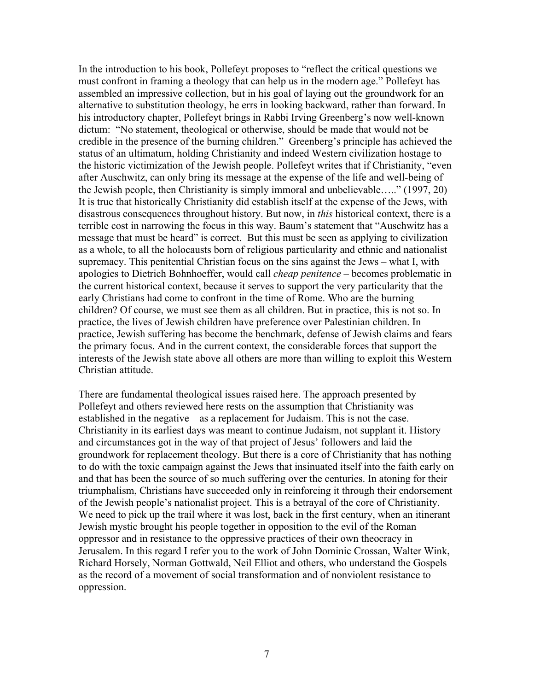In the introduction to his book, Pollefeyt proposes to "reflect the critical questions we must confront in framing a theology that can help us in the modern age." Pollefeyt has assembled an impressive collection, but in his goal of laying out the groundwork for an alternative to substitution theology, he errs in looking backward, rather than forward. In his introductory chapter, Pollefeyt brings in Rabbi Irving Greenberg's now well-known dictum: "No statement, theological or otherwise, should be made that would not be credible in the presence of the burning children." Greenberg's principle has achieved the status of an ultimatum, holding Christianity and indeed Western civilization hostage to the historic victimization of the Jewish people. Pollefeyt writes that if Christianity, "even after Auschwitz, can only bring its message at the expense of the life and well-being of the Jewish people, then Christianity is simply immoral and unbelievable….." (1997, 20) It is true that historically Christianity did establish itself at the expense of the Jews, with disastrous consequences throughout history. But now, in *this* historical context, there is a terrible cost in narrowing the focus in this way. Baum's statement that "Auschwitz has a message that must be heard" is correct. But this must be seen as applying to civilization as a whole, to all the holocausts born of religious particularity and ethnic and nationalist supremacy. This penitential Christian focus on the sins against the Jews – what I, with apologies to Dietrich Bohnhoeffer, would call *cheap penitence* – becomes problematic in the current historical context, because it serves to support the very particularity that the early Christians had come to confront in the time of Rome. Who are the burning children? Of course, we must see them as all children. But in practice, this is not so. In practice, the lives of Jewish children have preference over Palestinian children. In practice, Jewish suffering has become the benchmark, defense of Jewish claims and fears the primary focus. And in the current context, the considerable forces that support the interests of the Jewish state above all others are more than willing to exploit this Western Christian attitude.

There are fundamental theological issues raised here. The approach presented by Pollefeyt and others reviewed here rests on the assumption that Christianity was established in the negative – as a replacement for Judaism. This is not the case. Christianity in its earliest days was meant to continue Judaism, not supplant it. History and circumstances got in the way of that project of Jesus' followers and laid the groundwork for replacement theology. But there is a core of Christianity that has nothing to do with the toxic campaign against the Jews that insinuated itself into the faith early on and that has been the source of so much suffering over the centuries. In atoning for their triumphalism, Christians have succeeded only in reinforcing it through their endorsement of the Jewish people's nationalist project. This is a betrayal of the core of Christianity. We need to pick up the trail where it was lost, back in the first century, when an itinerant Jewish mystic brought his people together in opposition to the evil of the Roman oppressor and in resistance to the oppressive practices of their own theocracy in Jerusalem. In this regard I refer you to the work of John Dominic Crossan, Walter Wink, Richard Horsely, Norman Gottwald, Neil Elliot and others, who understand the Gospels as the record of a movement of social transformation and of nonviolent resistance to oppression.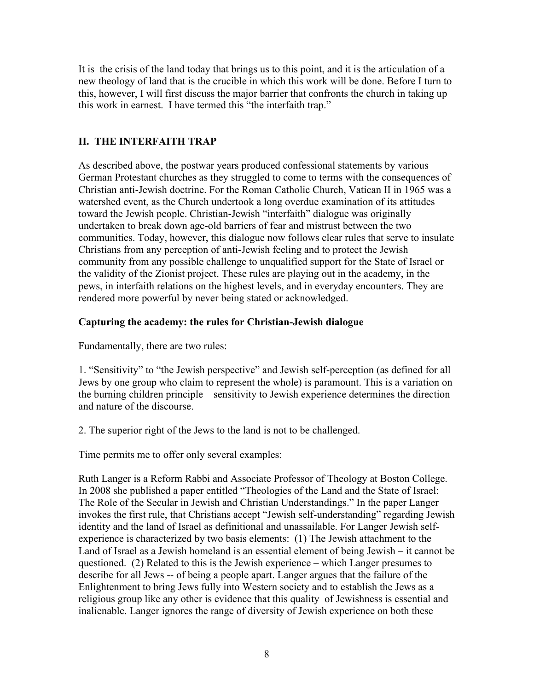It is the crisis of the land today that brings us to this point, and it is the articulation of a new theology of land that is the crucible in which this work will be done. Before I turn to this, however, I will first discuss the major barrier that confronts the church in taking up this work in earnest. I have termed this "the interfaith trap."

# **II. THE INTERFAITH TRAP**

As described above, the postwar years produced confessional statements by various German Protestant churches as they struggled to come to terms with the consequences of Christian anti-Jewish doctrine. For the Roman Catholic Church, Vatican II in 1965 was a watershed event, as the Church undertook a long overdue examination of its attitudes toward the Jewish people. Christian-Jewish "interfaith" dialogue was originally undertaken to break down age-old barriers of fear and mistrust between the two communities. Today, however, this dialogue now follows clear rules that serve to insulate Christians from any perception of anti-Jewish feeling and to protect the Jewish community from any possible challenge to unqualified support for the State of Israel or the validity of the Zionist project. These rules are playing out in the academy, in the pews, in interfaith relations on the highest levels, and in everyday encounters. They are rendered more powerful by never being stated or acknowledged.

## **Capturing the academy: the rules for Christian-Jewish dialogue**

Fundamentally, there are two rules:

1. "Sensitivity" to "the Jewish perspective" and Jewish self-perception (as defined for all Jews by one group who claim to represent the whole) is paramount. This is a variation on the burning children principle – sensitivity to Jewish experience determines the direction and nature of the discourse.

2. The superior right of the Jews to the land is not to be challenged.

Time permits me to offer only several examples:

Ruth Langer is a Reform Rabbi and Associate Professor of Theology at Boston College. In 2008 she published a paper entitled "Theologies of the Land and the State of Israel: The Role of the Secular in Jewish and Christian Understandings." In the paper Langer invokes the first rule, that Christians accept "Jewish self-understanding" regarding Jewish identity and the land of Israel as definitional and unassailable. For Langer Jewish selfexperience is characterized by two basis elements: (1) The Jewish attachment to the Land of Israel as a Jewish homeland is an essential element of being Jewish – it cannot be questioned. (2) Related to this is the Jewish experience – which Langer presumes to describe for all Jews -- of being a people apart. Langer argues that the failure of the Enlightenment to bring Jews fully into Western society and to establish the Jews as a religious group like any other is evidence that this quality of Jewishness is essential and inalienable. Langer ignores the range of diversity of Jewish experience on both these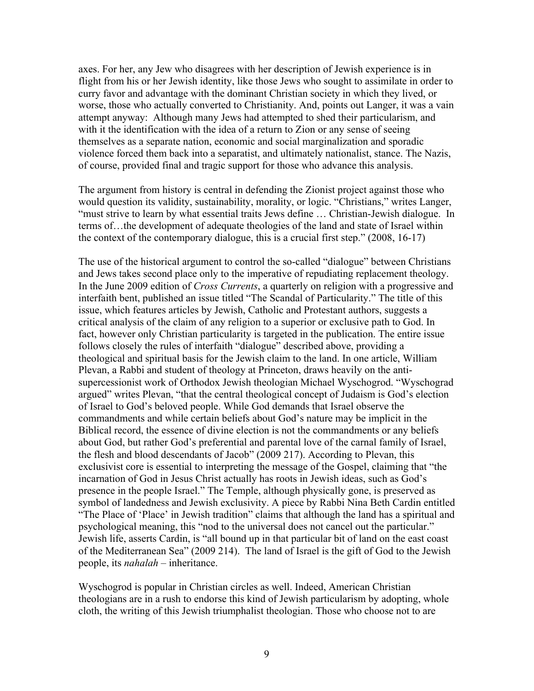axes. For her, any Jew who disagrees with her description of Jewish experience is in flight from his or her Jewish identity, like those Jews who sought to assimilate in order to curry favor and advantage with the dominant Christian society in which they lived, or worse, those who actually converted to Christianity. And, points out Langer, it was a vain attempt anyway: Although many Jews had attempted to shed their particularism, and with it the identification with the idea of a return to Zion or any sense of seeing themselves as a separate nation, economic and social marginalization and sporadic violence forced them back into a separatist, and ultimately nationalist, stance. The Nazis, of course, provided final and tragic support for those who advance this analysis.

The argument from history is central in defending the Zionist project against those who would question its validity, sustainability, morality, or logic. "Christians," writes Langer, "must strive to learn by what essential traits Jews define … Christian-Jewish dialogue. In terms of…the development of adequate theologies of the land and state of Israel within the context of the contemporary dialogue, this is a crucial first step." (2008, 16-17)

The use of the historical argument to control the so-called "dialogue" between Christians and Jews takes second place only to the imperative of repudiating replacement theology. In the June 2009 edition of *Cross Currents*, a quarterly on religion with a progressive and interfaith bent, published an issue titled "The Scandal of Particularity." The title of this issue, which features articles by Jewish, Catholic and Protestant authors, suggests a critical analysis of the claim of any religion to a superior or exclusive path to God. In fact, however only Christian particularity is targeted in the publication. The entire issue follows closely the rules of interfaith "dialogue" described above, providing a theological and spiritual basis for the Jewish claim to the land. In one article, William Plevan, a Rabbi and student of theology at Princeton, draws heavily on the antisupercessionist work of Orthodox Jewish theologian Michael Wyschogrod. "Wyschograd argued" writes Plevan, "that the central theological concept of Judaism is God's election of Israel to God's beloved people. While God demands that Israel observe the commandments and while certain beliefs about God's nature may be implicit in the Biblical record, the essence of divine election is not the commandments or any beliefs about God, but rather God's preferential and parental love of the carnal family of Israel, the flesh and blood descendants of Jacob" (2009 217). According to Plevan, this exclusivist core is essential to interpreting the message of the Gospel, claiming that "the incarnation of God in Jesus Christ actually has roots in Jewish ideas, such as God's presence in the people Israel." The Temple, although physically gone, is preserved as symbol of landedness and Jewish exclusivity. A piece by Rabbi Nina Beth Cardin entitled "The Place of 'Place' in Jewish tradition" claims that although the land has a spiritual and psychological meaning, this "nod to the universal does not cancel out the particular." Jewish life, asserts Cardin, is "all bound up in that particular bit of land on the east coast of the Mediterranean Sea" (2009 214). The land of Israel is the gift of God to the Jewish people, its *nahalah –* inheritance.

Wyschogrod is popular in Christian circles as well. Indeed, American Christian theologians are in a rush to endorse this kind of Jewish particularism by adopting, whole cloth, the writing of this Jewish triumphalist theologian. Those who choose not to are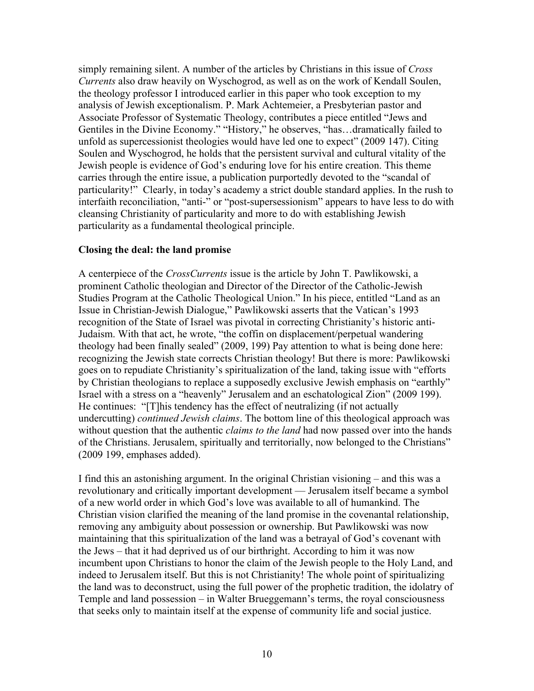simply remaining silent. A number of the articles by Christians in this issue of *Cross Currents* also draw heavily on Wyschogrod, as well as on the work of Kendall Soulen, the theology professor I introduced earlier in this paper who took exception to my analysis of Jewish exceptionalism. P. Mark Achtemeier, a Presbyterian pastor and Associate Professor of Systematic Theology, contributes a piece entitled "Jews and Gentiles in the Divine Economy." "History," he observes, "has…dramatically failed to unfold as supercessionist theologies would have led one to expect" (2009 147). Citing Soulen and Wyschogrod, he holds that the persistent survival and cultural vitality of the Jewish people is evidence of God's enduring love for his entire creation. This theme carries through the entire issue, a publication purportedly devoted to the "scandal of particularity!" Clearly, in today's academy a strict double standard applies. In the rush to interfaith reconciliation, "anti-" or "post-supersessionism" appears to have less to do with cleansing Christianity of particularity and more to do with establishing Jewish particularity as a fundamental theological principle.

### **Closing the deal: the land promise**

A centerpiece of the *CrossCurrents* issue is the article by John T. Pawlikowski, a prominent Catholic theologian and Director of the Director of the Catholic-Jewish Studies Program at the Catholic Theological Union." In his piece, entitled "Land as an Issue in Christian-Jewish Dialogue," Pawlikowski asserts that the Vatican's 1993 recognition of the State of Israel was pivotal in correcting Christianity's historic anti-Judaism. With that act, he wrote, "the coffin on displacement/perpetual wandering theology had been finally sealed" (2009, 199) Pay attention to what is being done here: recognizing the Jewish state corrects Christian theology! But there is more: Pawlikowski goes on to repudiate Christianity's spiritualization of the land, taking issue with "efforts by Christian theologians to replace a supposedly exclusive Jewish emphasis on "earthly" Israel with a stress on a "heavenly" Jerusalem and an eschatological Zion" (2009 199). He continues: "[T]his tendency has the effect of neutralizing (if not actually undercutting) *continued Jewish claims*. The bottom line of this theological approach was without question that the authentic *claims to the land* had now passed over into the hands of the Christians. Jerusalem, spiritually and territorially, now belonged to the Christians" (2009 199, emphases added).

I find this an astonishing argument. In the original Christian visioning – and this was a revolutionary and critically important development — Jerusalem itself became a symbol of a new world order in which God's love was available to all of humankind. The Christian vision clarified the meaning of the land promise in the covenantal relationship, removing any ambiguity about possession or ownership. But Pawlikowski was now maintaining that this spiritualization of the land was a betrayal of God's covenant with the Jews – that it had deprived us of our birthright. According to him it was now incumbent upon Christians to honor the claim of the Jewish people to the Holy Land, and indeed to Jerusalem itself. But this is not Christianity! The whole point of spiritualizing the land was to deconstruct, using the full power of the prophetic tradition, the idolatry of Temple and land possession – in Walter Brueggemann's terms, the royal consciousness that seeks only to maintain itself at the expense of community life and social justice.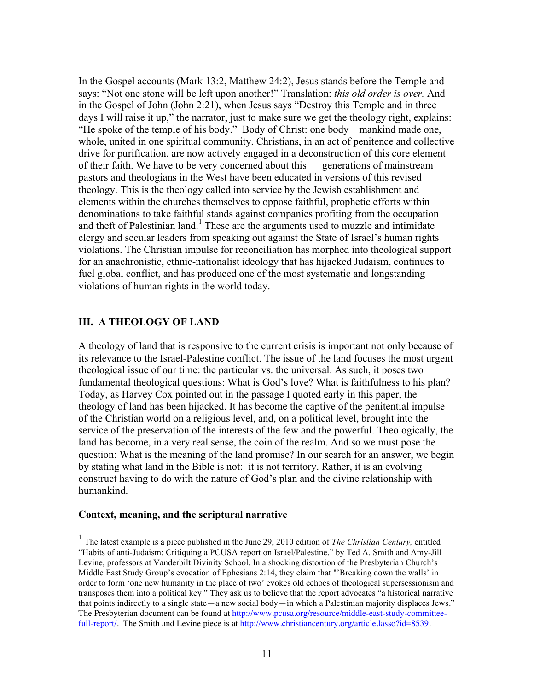In the Gospel accounts (Mark 13:2, Matthew 24:2), Jesus stands before the Temple and says: "Not one stone will be left upon another!" Translation: *this old order is over.* And in the Gospel of John (John 2:21), when Jesus says "Destroy this Temple and in three days I will raise it up," the narrator, just to make sure we get the theology right, explains: "He spoke of the temple of his body." Body of Christ: one body – mankind made one, whole, united in one spiritual community. Christians, in an act of penitence and collective drive for purification, are now actively engaged in a deconstruction of this core element of their faith. We have to be very concerned about this — generations of mainstream pastors and theologians in the West have been educated in versions of this revised theology. This is the theology called into service by the Jewish establishment and elements within the churches themselves to oppose faithful, prophetic efforts within denominations to take faithful stands against companies profiting from the occupation and theft of Palestinian land.<sup>1</sup> These are the arguments used to muzzle and intimidate clergy and secular leaders from speaking out against the State of Israel's human rights violations. The Christian impulse for reconciliation has morphed into theological support for an anachronistic, ethnic-nationalist ideology that has hijacked Judaism, continues to fuel global conflict, and has produced one of the most systematic and longstanding violations of human rights in the world today.

### **III. A THEOLOGY OF LAND**

A theology of land that is responsive to the current crisis is important not only because of its relevance to the Israel-Palestine conflict. The issue of the land focuses the most urgent theological issue of our time: the particular vs. the universal. As such, it poses two fundamental theological questions: What is God's love? What is faithfulness to his plan? Today, as Harvey Cox pointed out in the passage I quoted early in this paper, the theology of land has been hijacked. It has become the captive of the penitential impulse of the Christian world on a religious level, and, on a political level, brought into the service of the preservation of the interests of the few and the powerful. Theologically, the land has become, in a very real sense, the coin of the realm. And so we must pose the question: What is the meaning of the land promise? In our search for an answer, we begin by stating what land in the Bible is not: it is not territory. Rather, it is an evolving construct having to do with the nature of God's plan and the divine relationship with humankind.

### **Context, meaning, and the scriptural narrative**

 <sup>1</sup> The latest example is a piece published in the June 29, 2010 edition of *The Christian Century,* entitled "Habits of anti-Judaism: Critiquing a PCUSA report on Israel/Palestine," by Ted A. Smith and Amy-Jill Levine, professors at Vanderbilt Divinity School. In a shocking distortion of the Presbyterian Church's Middle East Study Group's evocation of Ephesians 2:14, they claim that "'Breaking down the walls' in order to form 'one new humanity in the place of two' evokes old echoes of theological supersessionism and transposes them into a political key." They ask us to believe that the report advocates "a historical narrative that points indirectly to a single state—a new social body—in which a Palestinian majority displaces Jews." The Presbyterian document can be found at http://www.pcusa.org/resource/middle-east-study-committeefull-report. The Smith and Levine piece is at http://www.christiancentury.org/article.lasso?id=8539.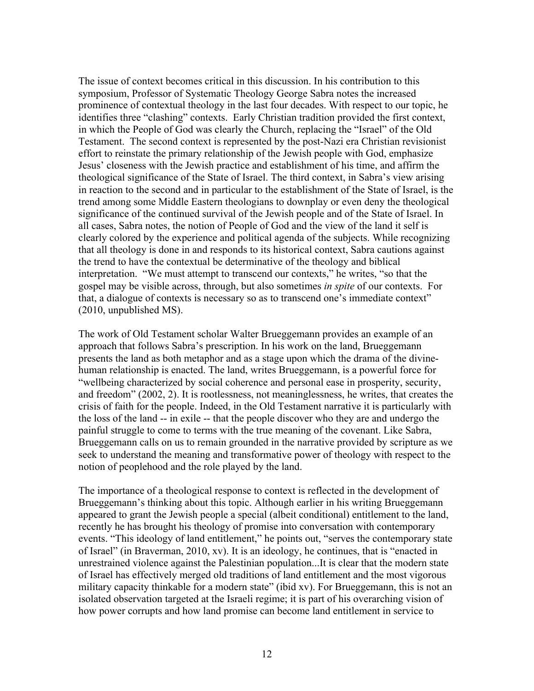The issue of context becomes critical in this discussion. In his contribution to this symposium, Professor of Systematic Theology George Sabra notes the increased prominence of contextual theology in the last four decades. With respect to our topic, he identifies three "clashing" contexts. Early Christian tradition provided the first context, in which the People of God was clearly the Church, replacing the "Israel" of the Old Testament. The second context is represented by the post-Nazi era Christian revisionist effort to reinstate the primary relationship of the Jewish people with God, emphasize Jesus' closeness with the Jewish practice and establishment of his time, and affirm the theological significance of the State of Israel. The third context, in Sabra's view arising in reaction to the second and in particular to the establishment of the State of Israel, is the trend among some Middle Eastern theologians to downplay or even deny the theological significance of the continued survival of the Jewish people and of the State of Israel. In all cases, Sabra notes, the notion of People of God and the view of the land it self is clearly colored by the experience and political agenda of the subjects. While recognizing that all theology is done in and responds to its historical context, Sabra cautions against the trend to have the contextual be determinative of the theology and biblical interpretation. "We must attempt to transcend our contexts," he writes, "so that the gospel may be visible across, through, but also sometimes *in spite* of our contexts. For that, a dialogue of contexts is necessary so as to transcend one's immediate context" (2010, unpublished MS).

The work of Old Testament scholar Walter Brueggemann provides an example of an approach that follows Sabra's prescription. In his work on the land, Brueggemann presents the land as both metaphor and as a stage upon which the drama of the divinehuman relationship is enacted. The land, writes Brueggemann, is a powerful force for "wellbeing characterized by social coherence and personal ease in prosperity, security, and freedom" (2002, 2). It is rootlessness, not meaninglessness, he writes, that creates the crisis of faith for the people. Indeed, in the Old Testament narrative it is particularly with the loss of the land -- in exile -- that the people discover who they are and undergo the painful struggle to come to terms with the true meaning of the covenant. Like Sabra, Brueggemann calls on us to remain grounded in the narrative provided by scripture as we seek to understand the meaning and transformative power of theology with respect to the notion of peoplehood and the role played by the land.

The importance of a theological response to context is reflected in the development of Brueggemann's thinking about this topic. Although earlier in his writing Brueggemann appeared to grant the Jewish people a special (albeit conditional) entitlement to the land, recently he has brought his theology of promise into conversation with contemporary events. "This ideology of land entitlement," he points out, "serves the contemporary state of Israel" (in Braverman, 2010, xv). It is an ideology, he continues, that is "enacted in unrestrained violence against the Palestinian population...It is clear that the modern state of Israel has effectively merged old traditions of land entitlement and the most vigorous military capacity thinkable for a modern state" (ibid xv). For Brueggemann, this is not an isolated observation targeted at the Israeli regime; it is part of his overarching vision of how power corrupts and how land promise can become land entitlement in service to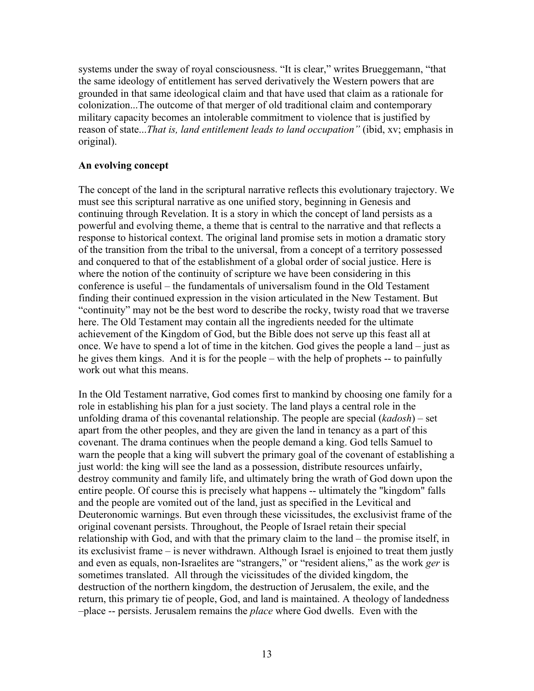systems under the sway of royal consciousness. "It is clear," writes Brueggemann, "that the same ideology of entitlement has served derivatively the Western powers that are grounded in that same ideological claim and that have used that claim as a rationale for colonization...The outcome of that merger of old traditional claim and contemporary military capacity becomes an intolerable commitment to violence that is justified by reason of state...*That is, land entitlement leads to land occupation"* (ibid, xv; emphasis in original).

### **An evolving concept**

The concept of the land in the scriptural narrative reflects this evolutionary trajectory. We must see this scriptural narrative as one unified story, beginning in Genesis and continuing through Revelation. It is a story in which the concept of land persists as a powerful and evolving theme, a theme that is central to the narrative and that reflects a response to historical context. The original land promise sets in motion a dramatic story of the transition from the tribal to the universal, from a concept of a territory possessed and conquered to that of the establishment of a global order of social justice. Here is where the notion of the continuity of scripture we have been considering in this conference is useful – the fundamentals of universalism found in the Old Testament finding their continued expression in the vision articulated in the New Testament. But "continuity" may not be the best word to describe the rocky, twisty road that we traverse here. The Old Testament may contain all the ingredients needed for the ultimate achievement of the Kingdom of God, but the Bible does not serve up this feast all at once. We have to spend a lot of time in the kitchen. God gives the people a land – just as he gives them kings. And it is for the people – with the help of prophets -- to painfully work out what this means.

In the Old Testament narrative, God comes first to mankind by choosing one family for a role in establishing his plan for a just society. The land plays a central role in the unfolding drama of this covenantal relationship. The people are special (*kadosh*) – set apart from the other peoples, and they are given the land in tenancy as a part of this covenant. The drama continues when the people demand a king. God tells Samuel to warn the people that a king will subvert the primary goal of the covenant of establishing a just world: the king will see the land as a possession, distribute resources unfairly, destroy community and family life, and ultimately bring the wrath of God down upon the entire people. Of course this is precisely what happens -- ultimately the "kingdom" falls and the people are vomited out of the land, just as specified in the Levitical and Deuteronomic warnings. But even through these vicissitudes, the exclusivist frame of the original covenant persists. Throughout, the People of Israel retain their special relationship with God, and with that the primary claim to the land – the promise itself, in its exclusivist frame – is never withdrawn. Although Israel is enjoined to treat them justly and even as equals, non-Israelites are "strangers," or "resident aliens," as the work *ger* is sometimes translated. All through the vicissitudes of the divided kingdom, the destruction of the northern kingdom, the destruction of Jerusalem, the exile, and the return, this primary tie of people, God, and land is maintained. A theology of landedness –place -- persists. Jerusalem remains the *place* where God dwells. Even with the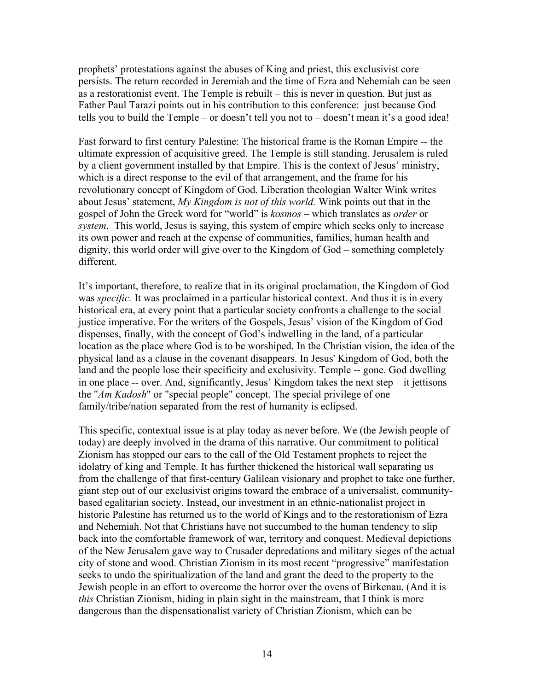prophets' protestations against the abuses of King and priest, this exclusivist core persists. The return recorded in Jeremiah and the time of Ezra and Nehemiah can be seen as a restorationist event. The Temple is rebuilt – this is never in question. But just as Father Paul Tarazi points out in his contribution to this conference: just because God tells you to build the Temple – or doesn't tell you not to – doesn't mean it's a good idea!

Fast forward to first century Palestine: The historical frame is the Roman Empire -- the ultimate expression of acquisitive greed. The Temple is still standing. Jerusalem is ruled by a client government installed by that Empire. This is the context of Jesus' ministry, which is a direct response to the evil of that arrangement, and the frame for his revolutionary concept of Kingdom of God. Liberation theologian Walter Wink writes about Jesus' statement, *My Kingdom is not of this world.* Wink points out that in the gospel of John the Greek word for "world" is *kosmos –* which translates as *order* or *system*. This world, Jesus is saying, this system of empire which seeks only to increase its own power and reach at the expense of communities, families, human health and dignity, this world order will give over to the Kingdom of God – something completely different.

It's important, therefore, to realize that in its original proclamation, the Kingdom of God was *specific.* It was proclaimed in a particular historical context. And thus it is in every historical era, at every point that a particular society confronts a challenge to the social justice imperative. For the writers of the Gospels, Jesus' vision of the Kingdom of God dispenses, finally, with the concept of God's indwelling in the land, of a particular location as the place where God is to be worshiped. In the Christian vision, the idea of the physical land as a clause in the covenant disappears. In Jesus' Kingdom of God, both the land and the people lose their specificity and exclusivity. Temple -- gone. God dwelling in one place -- over. And, significantly, Jesus' Kingdom takes the next step – it jettisons the "*Am Kadosh*" or "special people" concept. The special privilege of one family/tribe/nation separated from the rest of humanity is eclipsed.

This specific, contextual issue is at play today as never before. We (the Jewish people of today) are deeply involved in the drama of this narrative. Our commitment to political Zionism has stopped our ears to the call of the Old Testament prophets to reject the idolatry of king and Temple. It has further thickened the historical wall separating us from the challenge of that first-century Galilean visionary and prophet to take one further, giant step out of our exclusivist origins toward the embrace of a universalist, communitybased egalitarian society. Instead, our investment in an ethnic-nationalist project in historic Palestine has returned us to the world of Kings and to the restorationism of Ezra and Nehemiah. Not that Christians have not succumbed to the human tendency to slip back into the comfortable framework of war, territory and conquest. Medieval depictions of the New Jerusalem gave way to Crusader depredations and military sieges of the actual city of stone and wood. Christian Zionism in its most recent "progressive" manifestation seeks to undo the spiritualization of the land and grant the deed to the property to the Jewish people in an effort to overcome the horror over the ovens of Birkenau. (And it is *this* Christian Zionism, hiding in plain sight in the mainstream, that I think is more dangerous than the dispensationalist variety of Christian Zionism, which can be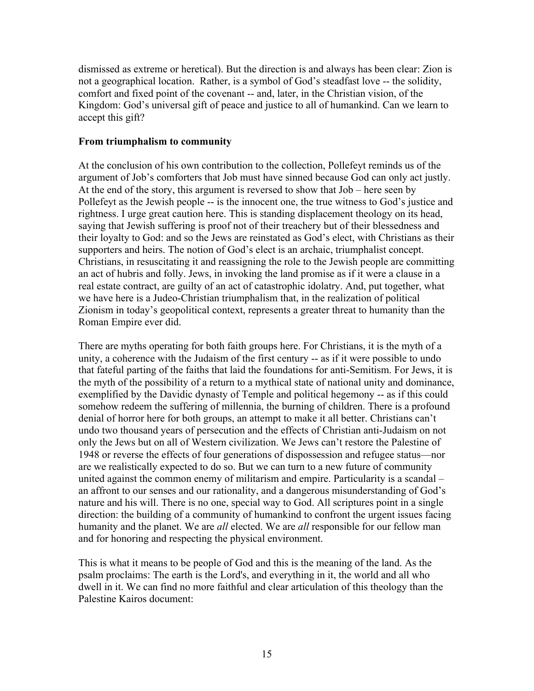dismissed as extreme or heretical). But the direction is and always has been clear: Zion is not a geographical location. Rather, is a symbol of God's steadfast love -- the solidity, comfort and fixed point of the covenant -- and, later, in the Christian vision, of the Kingdom: God's universal gift of peace and justice to all of humankind. Can we learn to accept this gift?

### **From triumphalism to community**

At the conclusion of his own contribution to the collection, Pollefeyt reminds us of the argument of Job's comforters that Job must have sinned because God can only act justly. At the end of the story, this argument is reversed to show that Job – here seen by Pollefeyt as the Jewish people -- is the innocent one, the true witness to God's justice and rightness. I urge great caution here. This is standing displacement theology on its head, saying that Jewish suffering is proof not of their treachery but of their blessedness and their loyalty to God: and so the Jews are reinstated as God's elect, with Christians as their supporters and heirs. The notion of God's elect is an archaic, triumphalist concept. Christians, in resuscitating it and reassigning the role to the Jewish people are committing an act of hubris and folly. Jews, in invoking the land promise as if it were a clause in a real estate contract, are guilty of an act of catastrophic idolatry. And, put together, what we have here is a Judeo-Christian triumphalism that, in the realization of political Zionism in today's geopolitical context, represents a greater threat to humanity than the Roman Empire ever did.

There are myths operating for both faith groups here. For Christians, it is the myth of a unity, a coherence with the Judaism of the first century -- as if it were possible to undo that fateful parting of the faiths that laid the foundations for anti-Semitism. For Jews, it is the myth of the possibility of a return to a mythical state of national unity and dominance, exemplified by the Davidic dynasty of Temple and political hegemony -- as if this could somehow redeem the suffering of millennia, the burning of children. There is a profound denial of horror here for both groups, an attempt to make it all better. Christians can't undo two thousand years of persecution and the effects of Christian anti-Judaism on not only the Jews but on all of Western civilization. We Jews can't restore the Palestine of 1948 or reverse the effects of four generations of dispossession and refugee status—nor are we realistically expected to do so. But we can turn to a new future of community united against the common enemy of militarism and empire. Particularity is a scandal – an affront to our senses and our rationality, and a dangerous misunderstanding of God's nature and his will. There is no one, special way to God. All scriptures point in a single direction: the building of a community of humankind to confront the urgent issues facing humanity and the planet. We are *all* elected. We are *all* responsible for our fellow man and for honoring and respecting the physical environment.

This is what it means to be people of God and this is the meaning of the land. As the psalm proclaims: The earth is the Lord's, and everything in it, the world and all who dwell in it. We can find no more faithful and clear articulation of this theology than the Palestine Kairos document: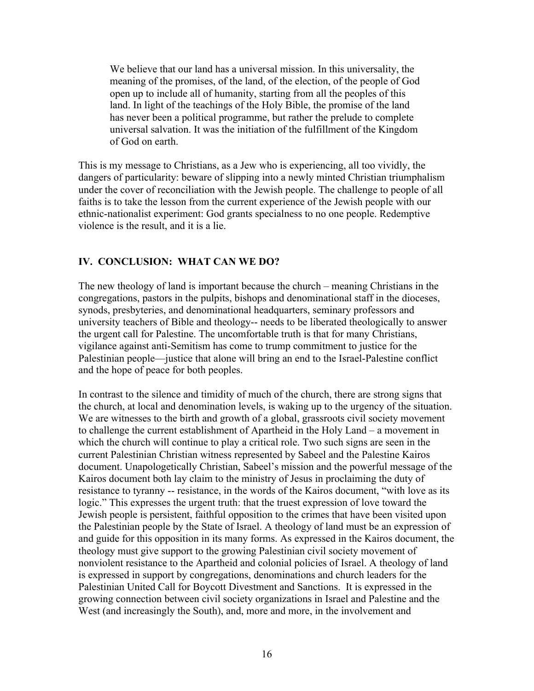We believe that our land has a universal mission. In this universality, the meaning of the promises, of the land, of the election, of the people of God open up to include all of humanity, starting from all the peoples of this land. In light of the teachings of the Holy Bible, the promise of the land has never been a political programme, but rather the prelude to complete universal salvation. It was the initiation of the fulfillment of the Kingdom of God on earth.

This is my message to Christians, as a Jew who is experiencing, all too vividly, the dangers of particularity: beware of slipping into a newly minted Christian triumphalism under the cover of reconciliation with the Jewish people. The challenge to people of all faiths is to take the lesson from the current experience of the Jewish people with our ethnic-nationalist experiment: God grants specialness to no one people. Redemptive violence is the result, and it is a lie.

## **IV. CONCLUSION: WHAT CAN WE DO?**

The new theology of land is important because the church – meaning Christians in the congregations, pastors in the pulpits, bishops and denominational staff in the dioceses, synods, presbyteries, and denominational headquarters, seminary professors and university teachers of Bible and theology-- needs to be liberated theologically to answer the urgent call for Palestine. The uncomfortable truth is that for many Christians, vigilance against anti-Semitism has come to trump commitment to justice for the Palestinian people—justice that alone will bring an end to the Israel-Palestine conflict and the hope of peace for both peoples.

In contrast to the silence and timidity of much of the church, there are strong signs that the church, at local and denomination levels, is waking up to the urgency of the situation. We are witnesses to the birth and growth of a global, grassroots civil society movement to challenge the current establishment of Apartheid in the Holy Land – a movement in which the church will continue to play a critical role. Two such signs are seen in the current Palestinian Christian witness represented by Sabeel and the Palestine Kairos document. Unapologetically Christian, Sabeel's mission and the powerful message of the Kairos document both lay claim to the ministry of Jesus in proclaiming the duty of resistance to tyranny -- resistance, in the words of the Kairos document, "with love as its logic." This expresses the urgent truth: that the truest expression of love toward the Jewish people is persistent, faithful opposition to the crimes that have been visited upon the Palestinian people by the State of Israel. A theology of land must be an expression of and guide for this opposition in its many forms. As expressed in the Kairos document, the theology must give support to the growing Palestinian civil society movement of nonviolent resistance to the Apartheid and colonial policies of Israel. A theology of land is expressed in support by congregations, denominations and church leaders for the Palestinian United Call for Boycott Divestment and Sanctions. It is expressed in the growing connection between civil society organizations in Israel and Palestine and the West (and increasingly the South), and, more and more, in the involvement and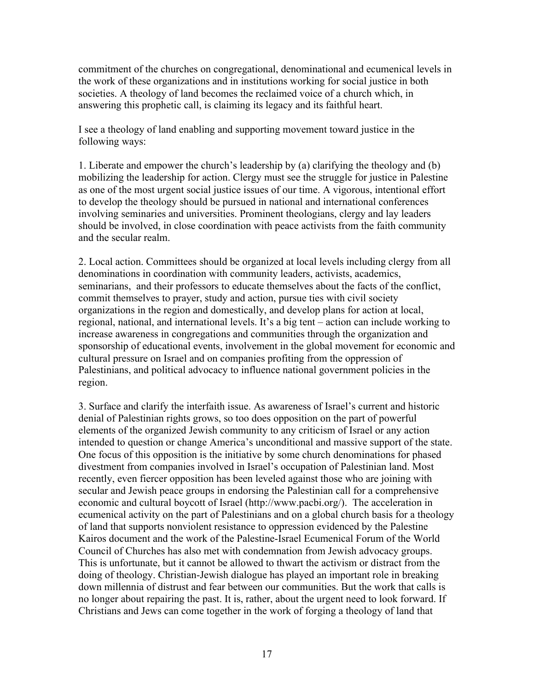commitment of the churches on congregational, denominational and ecumenical levels in the work of these organizations and in institutions working for social justice in both societies. A theology of land becomes the reclaimed voice of a church which, in answering this prophetic call, is claiming its legacy and its faithful heart.

I see a theology of land enabling and supporting movement toward justice in the following ways:

1. Liberate and empower the church's leadership by (a) clarifying the theology and (b) mobilizing the leadership for action. Clergy must see the struggle for justice in Palestine as one of the most urgent social justice issues of our time. A vigorous, intentional effort to develop the theology should be pursued in national and international conferences involving seminaries and universities. Prominent theologians, clergy and lay leaders should be involved, in close coordination with peace activists from the faith community and the secular realm.

2. Local action. Committees should be organized at local levels including clergy from all denominations in coordination with community leaders, activists, academics, seminarians, and their professors to educate themselves about the facts of the conflict, commit themselves to prayer, study and action, pursue ties with civil society organizations in the region and domestically, and develop plans for action at local, regional, national, and international levels. It's a big tent – action can include working to increase awareness in congregations and communities through the organization and sponsorship of educational events, involvement in the global movement for economic and cultural pressure on Israel and on companies profiting from the oppression of Palestinians, and political advocacy to influence national government policies in the region.

3. Surface and clarify the interfaith issue. As awareness of Israel's current and historic denial of Palestinian rights grows, so too does opposition on the part of powerful elements of the organized Jewish community to any criticism of Israel or any action intended to question or change America's unconditional and massive support of the state. One focus of this opposition is the initiative by some church denominations for phased divestment from companies involved in Israel's occupation of Palestinian land. Most recently, even fiercer opposition has been leveled against those who are joining with secular and Jewish peace groups in endorsing the Palestinian call for a comprehensive economic and cultural boycott of Israel (http://www.pacbi.org/). The acceleration in ecumenical activity on the part of Palestinians and on a global church basis for a theology of land that supports nonviolent resistance to oppression evidenced by the Palestine Kairos document and the work of the Palestine-Israel Ecumenical Forum of the World Council of Churches has also met with condemnation from Jewish advocacy groups. This is unfortunate, but it cannot be allowed to thwart the activism or distract from the doing of theology. Christian-Jewish dialogue has played an important role in breaking down millennia of distrust and fear between our communities. But the work that calls is no longer about repairing the past. It is, rather, about the urgent need to look forward. If Christians and Jews can come together in the work of forging a theology of land that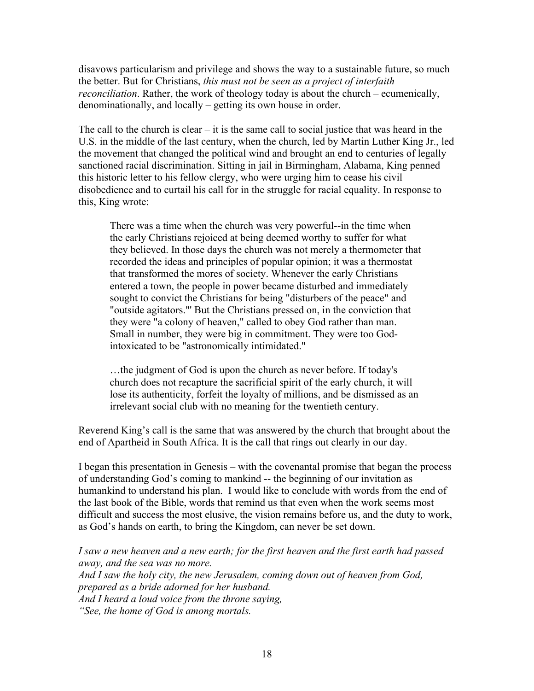disavows particularism and privilege and shows the way to a sustainable future, so much the better. But for Christians, *this must not be seen as a project of interfaith reconciliation*. Rather, the work of theology today is about the church – ecumenically, denominationally, and locally – getting its own house in order.

The call to the church is clear  $-$  it is the same call to social justice that was heard in the U.S. in the middle of the last century, when the church, led by Martin Luther King Jr., led the movement that changed the political wind and brought an end to centuries of legally sanctioned racial discrimination. Sitting in jail in Birmingham, Alabama, King penned this historic letter to his fellow clergy, who were urging him to cease his civil disobedience and to curtail his call for in the struggle for racial equality. In response to this, King wrote:

There was a time when the church was very powerful--in the time when the early Christians rejoiced at being deemed worthy to suffer for what they believed. In those days the church was not merely a thermometer that recorded the ideas and principles of popular opinion; it was a thermostat that transformed the mores of society. Whenever the early Christians entered a town, the people in power became disturbed and immediately sought to convict the Christians for being "disturbers of the peace" and "outside agitators."' But the Christians pressed on, in the conviction that they were "a colony of heaven," called to obey God rather than man. Small in number, they were big in commitment. They were too Godintoxicated to be "astronomically intimidated."

…the judgment of God is upon the church as never before. If today's church does not recapture the sacrificial spirit of the early church, it will lose its authenticity, forfeit the loyalty of millions, and be dismissed as an irrelevant social club with no meaning for the twentieth century.

Reverend King's call is the same that was answered by the church that brought about the end of Apartheid in South Africa. It is the call that rings out clearly in our day.

I began this presentation in Genesis – with the covenantal promise that began the process of understanding God's coming to mankind -- the beginning of our invitation as humankind to understand his plan. I would like to conclude with words from the end of the last book of the Bible, words that remind us that even when the work seems most difficult and success the most elusive, the vision remains before us, and the duty to work, as God's hands on earth, to bring the Kingdom, can never be set down.

*I saw a new heaven and a new earth; for the first heaven and the first earth had passed away, and the sea was no more. And I saw the holy city, the new Jerusalem, coming down out of heaven from God, prepared as a bride adorned for her husband. And I heard a loud voice from the throne saying, "See, the home of God is among mortals.*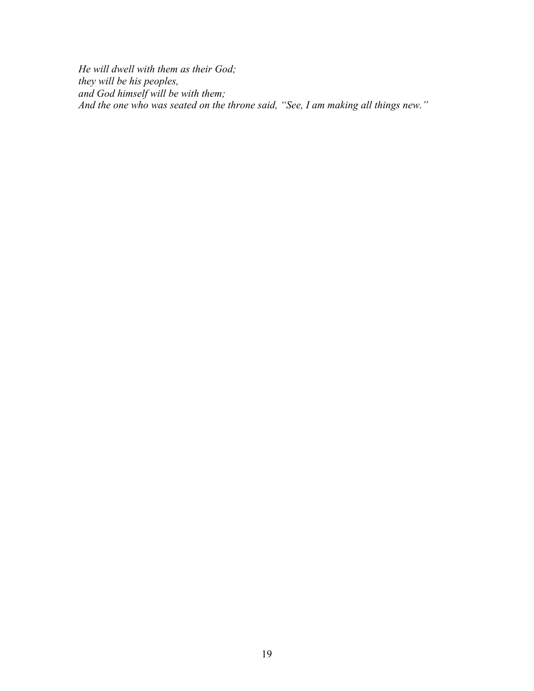*He will dwell with them as their God; they will be his peoples, and God himself will be with them; And the one who was seated on the throne said, "See, I am making all things new."*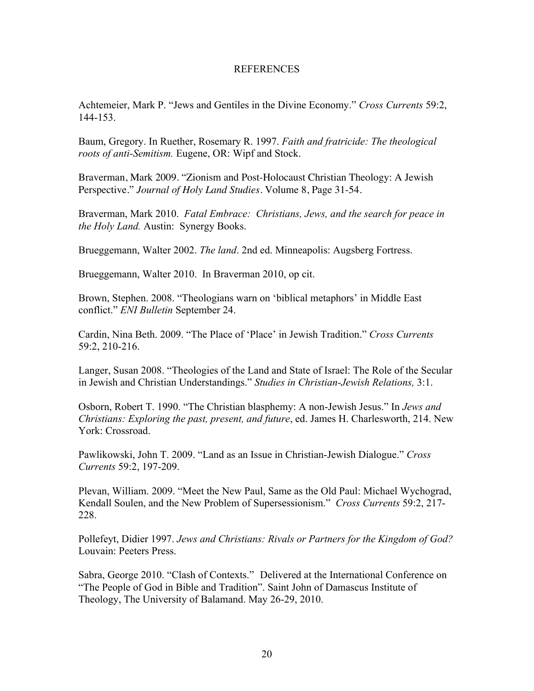#### REFERENCES

Achtemeier, Mark P. "Jews and Gentiles in the Divine Economy." *Cross Currents* 59:2, 144-153.

Baum, Gregory. In Ruether, Rosemary R. 1997. *Faith and fratricide: The theological roots of anti-Semitism.* Eugene, OR: Wipf and Stock.

Braverman, Mark 2009. "Zionism and Post-Holocaust Christian Theology: A Jewish Perspective." *Journal of Holy Land Studies.* Volume 8, Page 31-54.

Braverman, Mark 2010. *Fatal Embrace: Christians, Jews, and the search for peace in the Holy Land.* Austin: Synergy Books.

Brueggemann, Walter 2002. *The land*. 2nd ed. Minneapolis: Augsberg Fortress.

Brueggemann, Walter 2010. In Braverman 2010, op cit.

Brown, Stephen. 2008. "Theologians warn on 'biblical metaphors' in Middle East conflict." *ENI Bulletin* September 24.

Cardin, Nina Beth. 2009. "The Place of 'Place' in Jewish Tradition." *Cross Currents*  59:2, 210-216.

Langer, Susan 2008. "Theologies of the Land and State of Israel: The Role of the Secular in Jewish and Christian Understandings." *Studies in Christian-Jewish Relations,* 3:1.

Osborn, Robert T. 1990. "The Christian blasphemy: A non-Jewish Jesus." In *Jews and Christians: Exploring the past, present, and future*, ed. James H. Charlesworth, 214. New York: Crossroad.

Pawlikowski, John T. 2009. "Land as an Issue in Christian-Jewish Dialogue." *Cross Currents* 59:2, 197-209.

Plevan, William. 2009. "Meet the New Paul, Same as the Old Paul: Michael Wychograd, Kendall Soulen, and the New Problem of Supersessionism." *Cross Currents* 59:2, 217- 228.

Pollefeyt, Didier 1997. *Jews and Christians: Rivals or Partners for the Kingdom of God?*  Louvain: Peeters Press.

Sabra, George 2010. "Clash of Contexts." Delivered at the International Conference on "The People of God in Bible and Tradition". Saint John of Damascus Institute of Theology, The University of Balamand. May 26-29, 2010.